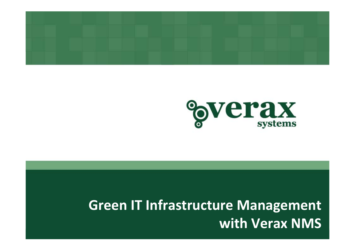



## **Green IT Infrastructure Management with Verax NMS**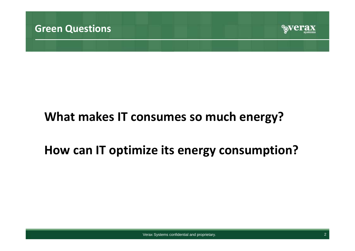

## **What makes IT consumes so much energy?**

## **How can IT optimize its energy consumption?**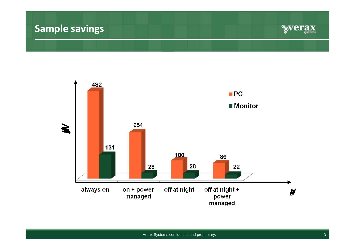#### **Sample savings**



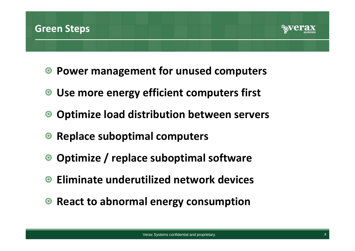#### **Green Steps**



- **Power management for unused computers**
- **Use more energy efficient computers first**
- **Optimize load distribution between servers**  $\bullet$
- **Replace suboptimal computers**
- **Optimize / replace suboptimal software**
- **Eliminate underutilized network devices**
- **React to abnormal energy consumption**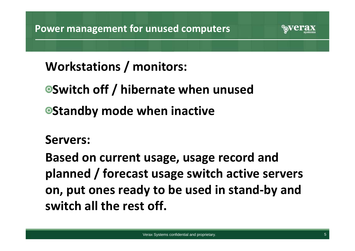

**Switch off / hibernate when unused Standby mode when inactive**

#### **Servers:**

**Based on current usage, usage record and planned / forecast usage switch active servers on, put ones ready to be used in stand‐by and switch all the rest off.**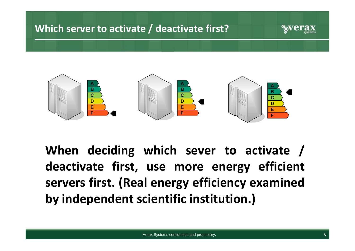#### **Which server to activate / deactivate first?**





**When deciding which sever to activate / deactivate first, use more energy efficient servers first. (Real energy efficiency examined by independent scientific institution.)**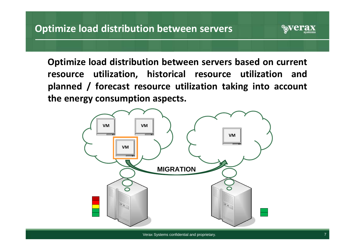**Optimize load distribution between servers based on current resource utilization, historical resource utilization and planned / forecast resource utilization taking into account the energy consumption aspects.**

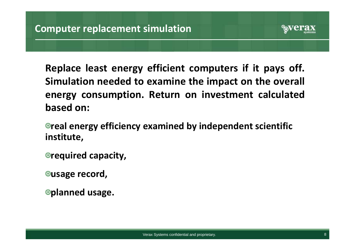

**Replace least energy efficient computers if it pays off. Simulation needed to examine the impact on the overall energy consumption. Return on investment calculated based on:**

**real energy efficiency examined by independent scientific institute,**

**required capacity,**

**usage record,**

**planned usage.**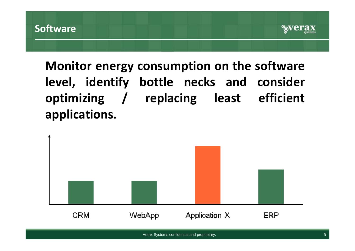

## **Monitor energy consumption on the software level, identify bottle necks and consider optimizing / replacing least efficient applications.**

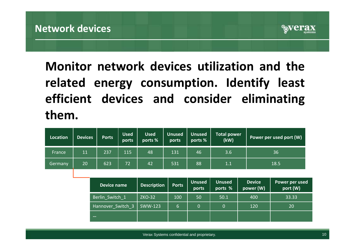

## **Monitor network devices utilization and the related energy consumption. Identify least efficient devices and consider eliminating them.**

| Location       | <b>Devices</b> | <b>Ports</b>       | <b>Used</b><br>ports | <b>Used</b><br>ports % | <b>Unused</b><br>ports | <b>Unused</b><br>ports % | <b>Total power</b><br>(kW) |                            | Power per used port (W)    |  |
|----------------|----------------|--------------------|----------------------|------------------------|------------------------|--------------------------|----------------------------|----------------------------|----------------------------|--|
| France,        | 11             | 237                | 115                  | 48                     | 131                    | 46                       | 3.6                        |                            | 36                         |  |
| <b>Germany</b> | 20             | 623                | 72                   | 42                     | 531                    | 88                       | 1.1                        |                            | 18.5                       |  |
|                |                |                    |                      |                        |                        |                          |                            |                            |                            |  |
|                |                | <b>Device name</b> |                      | <b>Description</b>     | <b>Ports</b>           | <b>Unused</b><br>ports   | <b>Unused</b><br>ports %   | <b>Device</b><br>power (W) | Power per used<br>port (W) |  |
|                |                | Berlin Switch 1    |                      | <b>ZKO-32</b>          | 100                    | 50                       | 50.1                       | 400                        | 33.33                      |  |
|                |                | Hannover Switch 3  |                      | SWW-123                | $6\phantom{1}$         | $\overline{0}$           | $\overline{0}$             | 120                        | 20                         |  |
|                |                | $\cdots$           |                      |                        |                        |                          |                            |                            |                            |  |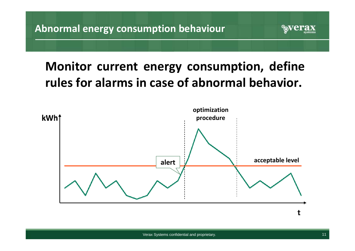### **Monitor current energy consumption, define rules for alarms in case of abnormal behavior.**

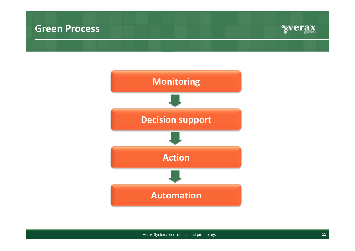#### **Green Process**



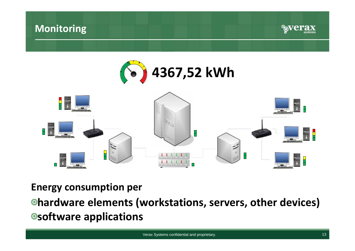#### **Monitoring**





**Energy consumption per**

**hardware elements (workstations, servers, other devices) software applications**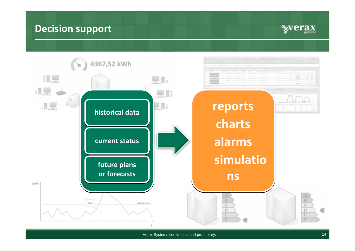#### **Decision support**



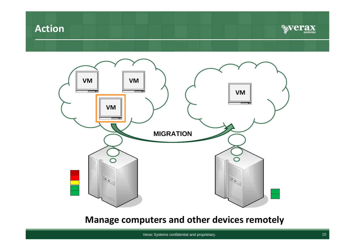#### **Action**





#### **Manage computers and other devices remotely**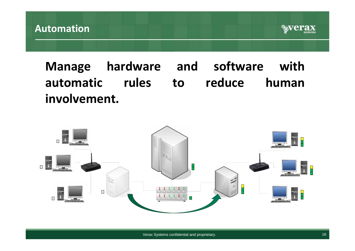

#### **Manage hardware and software with automatic rules to reduce human involvement.**

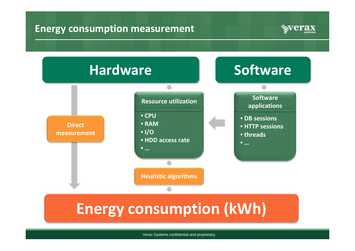#### **Energy consumption measurement**



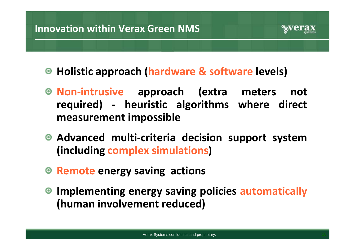

- **Holistic approach (hardware & software levels)**
- **Non‐intrusive approach (extra meters not required) ‐ heuristic algorithms where direct measurement impossible**
- **Advanced multi‐criteria decision support system (including complex simulations)**
- **Remote energy saving actions**
- **Implementing energy saving policies automatically (human involvement reduced)**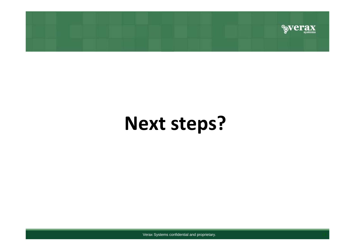

# **Next steps?**